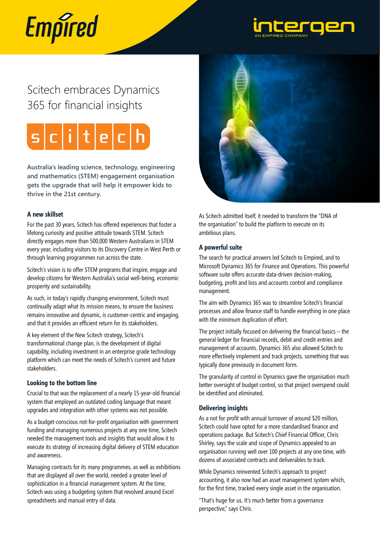# Empired



# Scitech embraces Dynamics 365 for financial insights



**Australia's leading science, technology, engineering and mathematics (STEM) engagement organisation gets the upgrade that will help it empower kids to thrive in the 21st century.**

#### **A new skillset**

For the past 30 years, Scitech has offered experiences that foster a lifelong curiosity and positive attitude towards STEM. Scitech directly engages more than 500,000 Western Australians in STEM every year, including visitors to its Discovery Centre in West Perth or through learning programmes run across the state.

Scitech's vision is to offer STEM programs that inspire, engage and develop citizens for Western Australia's social well-being, economic prosperity and sustainability.

As such, in today's rapidly changing environment, Scitech must continually adapt what its mission means, to ensure the business remains innovative and dynamic, is customer-centric and engaging, and that it provides an efficient return for its stakeholders.

A key element of the New Scitech strategy, Scitech's transformational change plan, is the development of digital capability, including investment in an enterprise grade technology platform which can meet the needs of Scitech's current and future stakeholders.

## **Looking to the bottom line**

Crucial to that was the replacement of a nearly 15-year-old financial system that employed an outdated coding language that meant upgrades and integration with other systems was not possible.

As a budget-conscious not-for-profit organisation with government funding and managing numerous projects at any one time, Scitech needed the management tools and insights that would allow it to execute its strategy of increasing digital delivery of STEM education and awareness.

Managing contracts for its many programmes, as well as exhibitions that are displayed all over the world, needed a greater level of sophistication in a financial management system. At the time, Scitech was using a budgeting system that revolved around Excel spreadsheets and manual entry of data.



As Scitech admitted itself, it needed to transform the "DNA of the organisation" to build the platform to execute on its ambitious plans.

## **A powerful suite**

The search for practical answers led Scitech to Empired, and to Microsoft Dynamics 365 for Finance and Operations. This powerful software suite offers accurate data-driven decision-making, budgeting, profit and loss and accounts control and compliance management.

The aim with Dynamics 365 was to streamline Scitech's financial processes and allow finance staff to handle everything in one place with the minimum duplication of effort.

The project initially focused on delivering the financial basics – the general ledger for financial records, debit and credit entries and management of accounts. Dynamics 365 also allowed Scitech to more effectively implement and track projects, something that was typically done previously in document form.

The granularity of control in Dynamics gave the organisation much better oversight of budget control, so that project overspend could be identified and eliminated.

## **Delivering insights**

As a not for profit with annual turnover of around \$20 million, Scitech could have opted for a more standardised finance and operations package. But Scitech's Chief Financial Officer, Chris Shirley, says the scale and scope of Dynamics appealed to an organisation running well over 100 projects at any one time, with dozens of associated contracts and deliverables to track.

While Dynamics reinvented Scitech's approach to project accounting, it also now had an asset management system which, for the first time, tracked every single asset in the organisation.

"That's huge for us. It's much better from a governance perspective," says Chris.